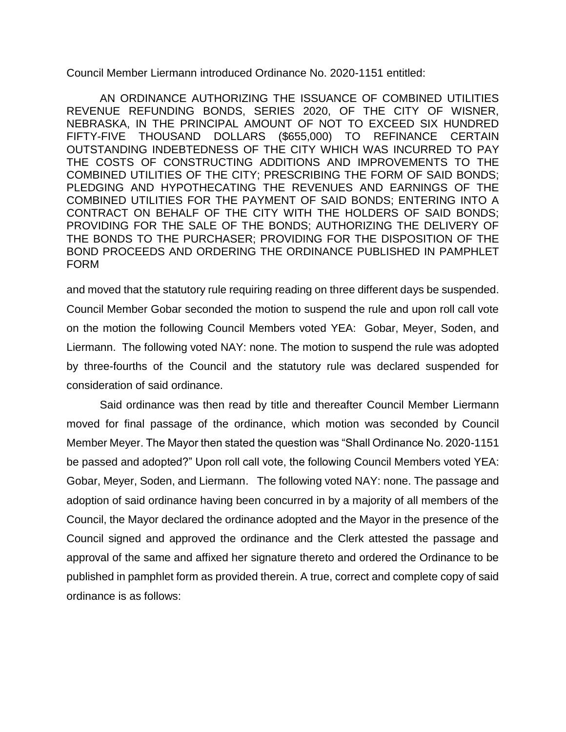Council Member Liermann introduced Ordinance No. 2020-1151 entitled:

AN ORDINANCE AUTHORIZING THE ISSUANCE OF COMBINED UTILITIES REVENUE REFUNDING BONDS, SERIES 2020, OF THE CITY OF WISNER, NEBRASKA, IN THE PRINCIPAL AMOUNT OF NOT TO EXCEED SIX HUNDRED FIFTY-FIVE THOUSAND DOLLARS (\$655,000) TO REFINANCE CERTAIN OUTSTANDING INDEBTEDNESS OF THE CITY WHICH WAS INCURRED TO PAY THE COSTS OF CONSTRUCTING ADDITIONS AND IMPROVEMENTS TO THE COMBINED UTILITIES OF THE CITY; PRESCRIBING THE FORM OF SAID BONDS; PLEDGING AND HYPOTHECATING THE REVENUES AND EARNINGS OF THE COMBINED UTILITIES FOR THE PAYMENT OF SAID BONDS; ENTERING INTO A CONTRACT ON BEHALF OF THE CITY WITH THE HOLDERS OF SAID BONDS; PROVIDING FOR THE SALE OF THE BONDS; AUTHORIZING THE DELIVERY OF THE BONDS TO THE PURCHASER; PROVIDING FOR THE DISPOSITION OF THE BOND PROCEEDS AND ORDERING THE ORDINANCE PUBLISHED IN PAMPHLET FORM

and moved that the statutory rule requiring reading on three different days be suspended. Council Member Gobar seconded the motion to suspend the rule and upon roll call vote on the motion the following Council Members voted YEA: Gobar, Meyer, Soden, and Liermann. The following voted NAY: none. The motion to suspend the rule was adopted by three-fourths of the Council and the statutory rule was declared suspended for consideration of said ordinance.

Said ordinance was then read by title and thereafter Council Member Liermann moved for final passage of the ordinance, which motion was seconded by Council Member Meyer. The Mayor then stated the question was "Shall Ordinance No. 2020-1151 be passed and adopted?" Upon roll call vote, the following Council Members voted YEA: Gobar, Meyer, Soden, and Liermann. The following voted NAY: none. The passage and adoption of said ordinance having been concurred in by a majority of all members of the Council, the Mayor declared the ordinance adopted and the Mayor in the presence of the Council signed and approved the ordinance and the Clerk attested the passage and approval of the same and affixed her signature thereto and ordered the Ordinance to be published in pamphlet form as provided therein. A true, correct and complete copy of said ordinance is as follows: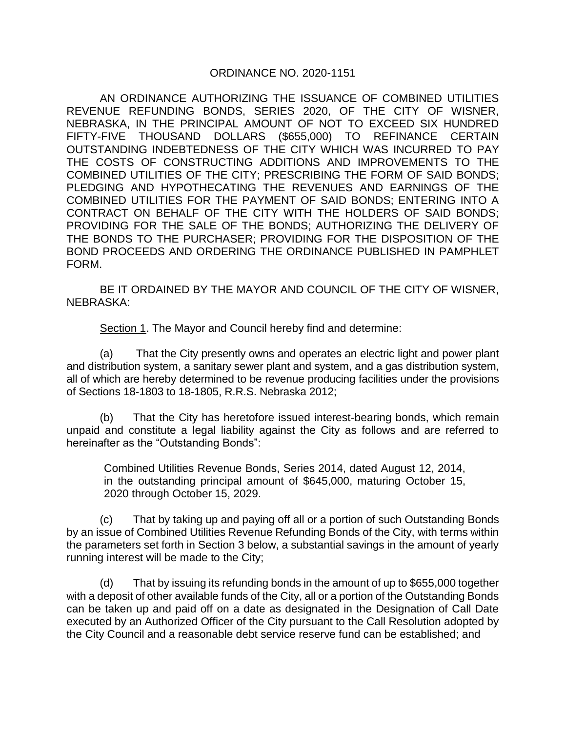### ORDINANCE NO. 2020-1151

AN ORDINANCE AUTHORIZING THE ISSUANCE OF COMBINED UTILITIES REVENUE REFUNDING BONDS, SERIES 2020, OF THE CITY OF WISNER, NEBRASKA, IN THE PRINCIPAL AMOUNT OF NOT TO EXCEED SIX HUNDRED FIFTY-FIVE THOUSAND DOLLARS (\$655,000) TO REFINANCE CERTAIN OUTSTANDING INDEBTEDNESS OF THE CITY WHICH WAS INCURRED TO PAY THE COSTS OF CONSTRUCTING ADDITIONS AND IMPROVEMENTS TO THE COMBINED UTILITIES OF THE CITY; PRESCRIBING THE FORM OF SAID BONDS; PLEDGING AND HYPOTHECATING THE REVENUES AND EARNINGS OF THE COMBINED UTILITIES FOR THE PAYMENT OF SAID BONDS; ENTERING INTO A CONTRACT ON BEHALF OF THE CITY WITH THE HOLDERS OF SAID BONDS; PROVIDING FOR THE SALE OF THE BONDS; AUTHORIZING THE DELIVERY OF THE BONDS TO THE PURCHASER; PROVIDING FOR THE DISPOSITION OF THE BOND PROCEEDS AND ORDERING THE ORDINANCE PUBLISHED IN PAMPHLET FORM.

BE IT ORDAINED BY THE MAYOR AND COUNCIL OF THE CITY OF WISNER, NEBRASKA:

Section 1. The Mayor and Council hereby find and determine:

(a) That the City presently owns and operates an electric light and power plant and distribution system, a sanitary sewer plant and system, and a gas distribution system, all of which are hereby determined to be revenue producing facilities under the provisions of Sections 18-1803 to 18-1805, R.R.S. Nebraska 2012;

(b) That the City has heretofore issued interest-bearing bonds, which remain unpaid and constitute a legal liability against the City as follows and are referred to hereinafter as the "Outstanding Bonds":

Combined Utilities Revenue Bonds, Series 2014, dated August 12, 2014, in the outstanding principal amount of \$645,000, maturing October 15, 2020 through October 15, 2029.

(c) That by taking up and paying off all or a portion of such Outstanding Bonds by an issue of Combined Utilities Revenue Refunding Bonds of the City, with terms within the parameters set forth in Section 3 below, a substantial savings in the amount of yearly running interest will be made to the City;

(d) That by issuing its refunding bonds in the amount of up to \$655,000 together with a deposit of other available funds of the City, all or a portion of the Outstanding Bonds can be taken up and paid off on a date as designated in the Designation of Call Date executed by an Authorized Officer of the City pursuant to the Call Resolution adopted by the City Council and a reasonable debt service reserve fund can be established; and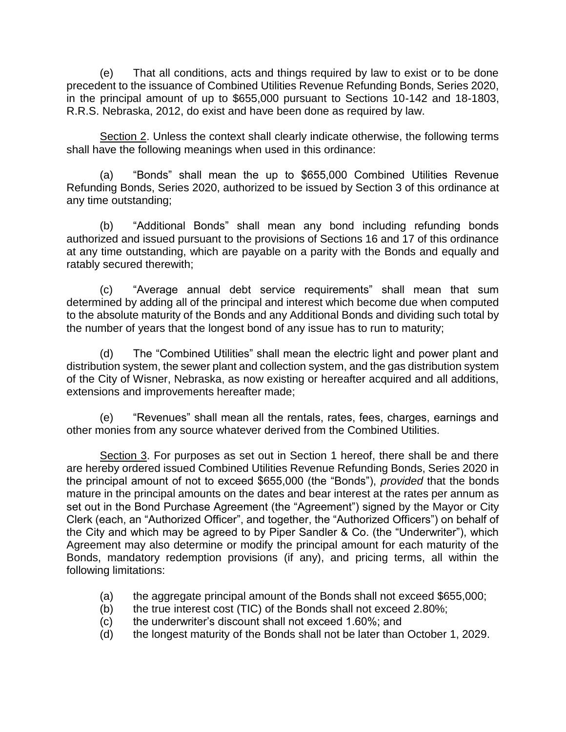(e) That all conditions, acts and things required by law to exist or to be done precedent to the issuance of Combined Utilities Revenue Refunding Bonds, Series 2020, in the principal amount of up to \$655,000 pursuant to Sections 10-142 and 18-1803, R.R.S. Nebraska, 2012, do exist and have been done as required by law.

Section 2. Unless the context shall clearly indicate otherwise, the following terms shall have the following meanings when used in this ordinance:

(a) "Bonds" shall mean the up to \$655,000 Combined Utilities Revenue Refunding Bonds, Series 2020, authorized to be issued by Section 3 of this ordinance at any time outstanding;

(b) "Additional Bonds" shall mean any bond including refunding bonds authorized and issued pursuant to the provisions of Sections 16 and 17 of this ordinance at any time outstanding, which are payable on a parity with the Bonds and equally and ratably secured therewith;

(c) "Average annual debt service requirements" shall mean that sum determined by adding all of the principal and interest which become due when computed to the absolute maturity of the Bonds and any Additional Bonds and dividing such total by the number of years that the longest bond of any issue has to run to maturity;

(d) The "Combined Utilities" shall mean the electric light and power plant and distribution system, the sewer plant and collection system, and the gas distribution system of the City of Wisner, Nebraska, as now existing or hereafter acquired and all additions, extensions and improvements hereafter made;

(e) "Revenues" shall mean all the rentals, rates, fees, charges, earnings and other monies from any source whatever derived from the Combined Utilities.

Section 3. For purposes as set out in Section 1 hereof, there shall be and there are hereby ordered issued Combined Utilities Revenue Refunding Bonds, Series 2020 in the principal amount of not to exceed \$655,000 (the "Bonds"), *provided* that the bonds mature in the principal amounts on the dates and bear interest at the rates per annum as set out in the Bond Purchase Agreement (the "Agreement") signed by the Mayor or City Clerk (each, an "Authorized Officer", and together, the "Authorized Officers") on behalf of the City and which may be agreed to by Piper Sandler & Co. (the "Underwriter"), which Agreement may also determine or modify the principal amount for each maturity of the Bonds, mandatory redemption provisions (if any), and pricing terms, all within the following limitations:

- (a) the aggregate principal amount of the Bonds shall not exceed \$655,000;
- (b) the true interest cost (TIC) of the Bonds shall not exceed 2.80%;
- (c) the underwriter's discount shall not exceed 1.60%; and
- (d) the longest maturity of the Bonds shall not be later than October 1, 2029.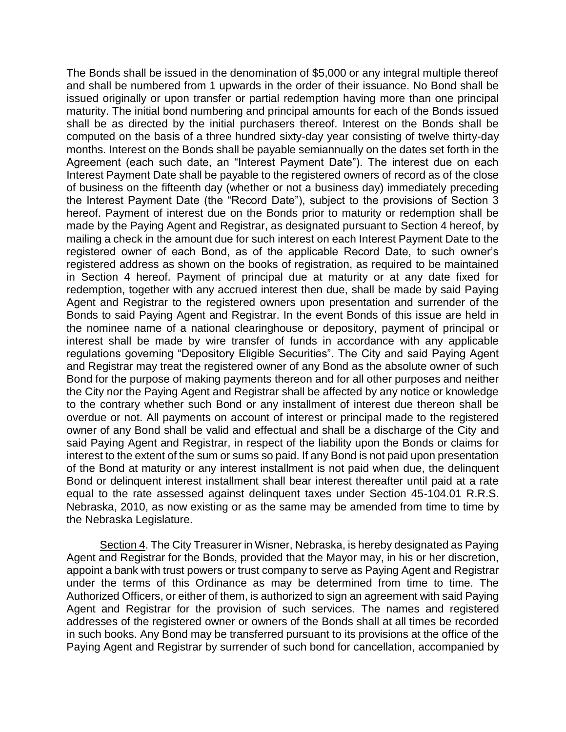The Bonds shall be issued in the denomination of \$5,000 or any integral multiple thereof and shall be numbered from 1 upwards in the order of their issuance. No Bond shall be issued originally or upon transfer or partial redemption having more than one principal maturity. The initial bond numbering and principal amounts for each of the Bonds issued shall be as directed by the initial purchasers thereof. Interest on the Bonds shall be computed on the basis of a three hundred sixty-day year consisting of twelve thirty-day months. Interest on the Bonds shall be payable semiannually on the dates set forth in the Agreement (each such date, an "Interest Payment Date"). The interest due on each Interest Payment Date shall be payable to the registered owners of record as of the close of business on the fifteenth day (whether or not a business day) immediately preceding the Interest Payment Date (the "Record Date"), subject to the provisions of Section 3 hereof. Payment of interest due on the Bonds prior to maturity or redemption shall be made by the Paying Agent and Registrar, as designated pursuant to Section 4 hereof, by mailing a check in the amount due for such interest on each Interest Payment Date to the registered owner of each Bond, as of the applicable Record Date, to such owner's registered address as shown on the books of registration, as required to be maintained in Section 4 hereof. Payment of principal due at maturity or at any date fixed for redemption, together with any accrued interest then due, shall be made by said Paying Agent and Registrar to the registered owners upon presentation and surrender of the Bonds to said Paying Agent and Registrar. In the event Bonds of this issue are held in the nominee name of a national clearinghouse or depository, payment of principal or interest shall be made by wire transfer of funds in accordance with any applicable regulations governing "Depository Eligible Securities". The City and said Paying Agent and Registrar may treat the registered owner of any Bond as the absolute owner of such Bond for the purpose of making payments thereon and for all other purposes and neither the City nor the Paying Agent and Registrar shall be affected by any notice or knowledge to the contrary whether such Bond or any installment of interest due thereon shall be overdue or not. All payments on account of interest or principal made to the registered owner of any Bond shall be valid and effectual and shall be a discharge of the City and said Paying Agent and Registrar, in respect of the liability upon the Bonds or claims for interest to the extent of the sum or sums so paid. If any Bond is not paid upon presentation of the Bond at maturity or any interest installment is not paid when due, the delinquent Bond or delinquent interest installment shall bear interest thereafter until paid at a rate equal to the rate assessed against delinquent taxes under Section 45-104.01 R.R.S. Nebraska, 2010, as now existing or as the same may be amended from time to time by the Nebraska Legislature.

Section 4. The City Treasurer in Wisner, Nebraska, is hereby designated as Paying Agent and Registrar for the Bonds, provided that the Mayor may, in his or her discretion, appoint a bank with trust powers or trust company to serve as Paying Agent and Registrar under the terms of this Ordinance as may be determined from time to time. The Authorized Officers, or either of them, is authorized to sign an agreement with said Paying Agent and Registrar for the provision of such services. The names and registered addresses of the registered owner or owners of the Bonds shall at all times be recorded in such books. Any Bond may be transferred pursuant to its provisions at the office of the Paying Agent and Registrar by surrender of such bond for cancellation, accompanied by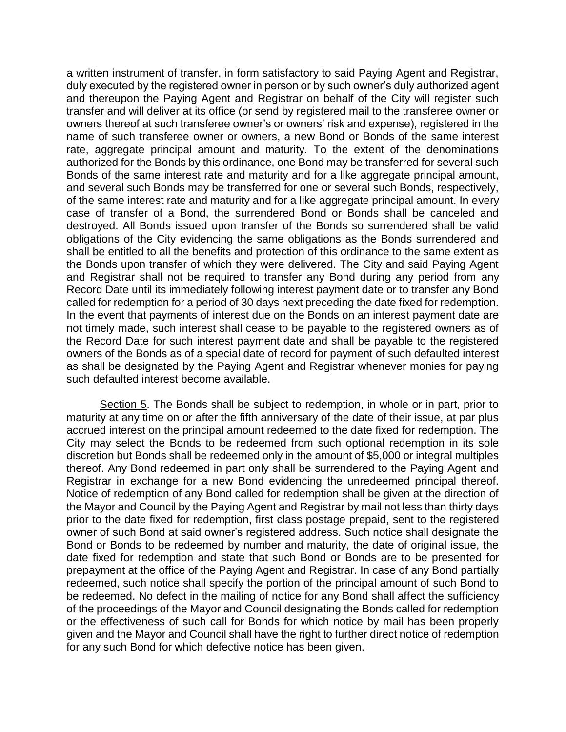a written instrument of transfer, in form satisfactory to said Paying Agent and Registrar, duly executed by the registered owner in person or by such owner's duly authorized agent and thereupon the Paying Agent and Registrar on behalf of the City will register such transfer and will deliver at its office (or send by registered mail to the transferee owner or owners thereof at such transferee owner's or owners' risk and expense), registered in the name of such transferee owner or owners, a new Bond or Bonds of the same interest rate, aggregate principal amount and maturity. To the extent of the denominations authorized for the Bonds by this ordinance, one Bond may be transferred for several such Bonds of the same interest rate and maturity and for a like aggregate principal amount, and several such Bonds may be transferred for one or several such Bonds, respectively, of the same interest rate and maturity and for a like aggregate principal amount. In every case of transfer of a Bond, the surrendered Bond or Bonds shall be canceled and destroyed. All Bonds issued upon transfer of the Bonds so surrendered shall be valid obligations of the City evidencing the same obligations as the Bonds surrendered and shall be entitled to all the benefits and protection of this ordinance to the same extent as the Bonds upon transfer of which they were delivered. The City and said Paying Agent and Registrar shall not be required to transfer any Bond during any period from any Record Date until its immediately following interest payment date or to transfer any Bond called for redemption for a period of 30 days next preceding the date fixed for redemption. In the event that payments of interest due on the Bonds on an interest payment date are not timely made, such interest shall cease to be payable to the registered owners as of the Record Date for such interest payment date and shall be payable to the registered owners of the Bonds as of a special date of record for payment of such defaulted interest as shall be designated by the Paying Agent and Registrar whenever monies for paying such defaulted interest become available.

Section 5. The Bonds shall be subject to redemption, in whole or in part, prior to maturity at any time on or after the fifth anniversary of the date of their issue, at par plus accrued interest on the principal amount redeemed to the date fixed for redemption. The City may select the Bonds to be redeemed from such optional redemption in its sole discretion but Bonds shall be redeemed only in the amount of \$5,000 or integral multiples thereof. Any Bond redeemed in part only shall be surrendered to the Paying Agent and Registrar in exchange for a new Bond evidencing the unredeemed principal thereof. Notice of redemption of any Bond called for redemption shall be given at the direction of the Mayor and Council by the Paying Agent and Registrar by mail not less than thirty days prior to the date fixed for redemption, first class postage prepaid, sent to the registered owner of such Bond at said owner's registered address. Such notice shall designate the Bond or Bonds to be redeemed by number and maturity, the date of original issue, the date fixed for redemption and state that such Bond or Bonds are to be presented for prepayment at the office of the Paying Agent and Registrar. In case of any Bond partially redeemed, such notice shall specify the portion of the principal amount of such Bond to be redeemed. No defect in the mailing of notice for any Bond shall affect the sufficiency of the proceedings of the Mayor and Council designating the Bonds called for redemption or the effectiveness of such call for Bonds for which notice by mail has been properly given and the Mayor and Council shall have the right to further direct notice of redemption for any such Bond for which defective notice has been given.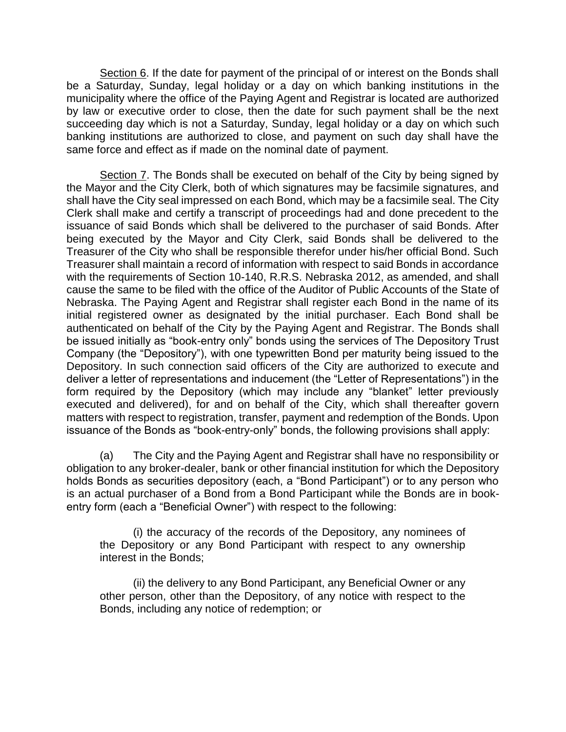Section 6. If the date for payment of the principal of or interest on the Bonds shall be a Saturday, Sunday, legal holiday or a day on which banking institutions in the municipality where the office of the Paying Agent and Registrar is located are authorized by law or executive order to close, then the date for such payment shall be the next succeeding day which is not a Saturday, Sunday, legal holiday or a day on which such banking institutions are authorized to close, and payment on such day shall have the same force and effect as if made on the nominal date of payment.

Section 7. The Bonds shall be executed on behalf of the City by being signed by the Mayor and the City Clerk, both of which signatures may be facsimile signatures, and shall have the City seal impressed on each Bond, which may be a facsimile seal. The City Clerk shall make and certify a transcript of proceedings had and done precedent to the issuance of said Bonds which shall be delivered to the purchaser of said Bonds. After being executed by the Mayor and City Clerk, said Bonds shall be delivered to the Treasurer of the City who shall be responsible therefor under his/her official Bond. Such Treasurer shall maintain a record of information with respect to said Bonds in accordance with the requirements of Section 10-140, R.R.S. Nebraska 2012, as amended, and shall cause the same to be filed with the office of the Auditor of Public Accounts of the State of Nebraska. The Paying Agent and Registrar shall register each Bond in the name of its initial registered owner as designated by the initial purchaser. Each Bond shall be authenticated on behalf of the City by the Paying Agent and Registrar. The Bonds shall be issued initially as "book-entry only" bonds using the services of The Depository Trust Company (the "Depository"), with one typewritten Bond per maturity being issued to the Depository. In such connection said officers of the City are authorized to execute and deliver a letter of representations and inducement (the "Letter of Representations") in the form required by the Depository (which may include any "blanket" letter previously executed and delivered), for and on behalf of the City, which shall thereafter govern matters with respect to registration, transfer, payment and redemption of the Bonds. Upon issuance of the Bonds as "book-entry-only" bonds, the following provisions shall apply:

(a) The City and the Paying Agent and Registrar shall have no responsibility or obligation to any broker-dealer, bank or other financial institution for which the Depository holds Bonds as securities depository (each, a "Bond Participant") or to any person who is an actual purchaser of a Bond from a Bond Participant while the Bonds are in bookentry form (each a "Beneficial Owner") with respect to the following:

(i) the accuracy of the records of the Depository, any nominees of the Depository or any Bond Participant with respect to any ownership interest in the Bonds;

(ii) the delivery to any Bond Participant, any Beneficial Owner or any other person, other than the Depository, of any notice with respect to the Bonds, including any notice of redemption; or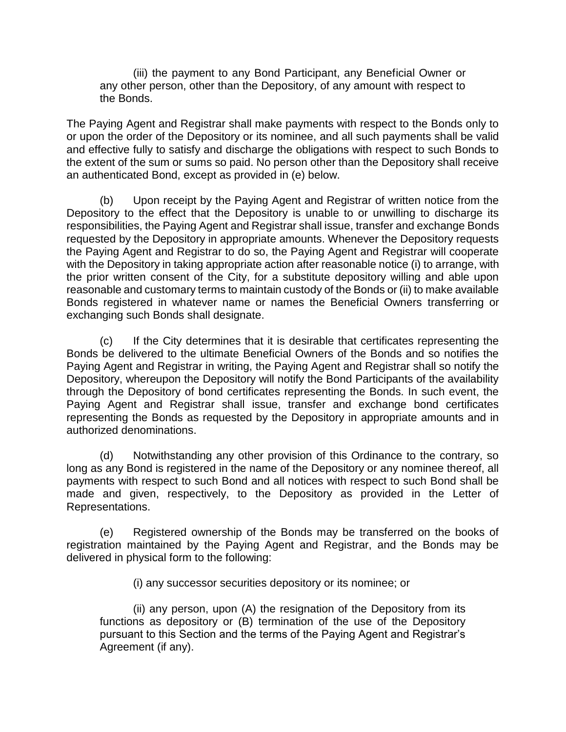(iii) the payment to any Bond Participant, any Beneficial Owner or any other person, other than the Depository, of any amount with respect to the Bonds.

The Paying Agent and Registrar shall make payments with respect to the Bonds only to or upon the order of the Depository or its nominee, and all such payments shall be valid and effective fully to satisfy and discharge the obligations with respect to such Bonds to the extent of the sum or sums so paid. No person other than the Depository shall receive an authenticated Bond, except as provided in (e) below.

(b) Upon receipt by the Paying Agent and Registrar of written notice from the Depository to the effect that the Depository is unable to or unwilling to discharge its responsibilities, the Paying Agent and Registrar shall issue, transfer and exchange Bonds requested by the Depository in appropriate amounts. Whenever the Depository requests the Paying Agent and Registrar to do so, the Paying Agent and Registrar will cooperate with the Depository in taking appropriate action after reasonable notice (i) to arrange, with the prior written consent of the City, for a substitute depository willing and able upon reasonable and customary terms to maintain custody of the Bonds or (ii) to make available Bonds registered in whatever name or names the Beneficial Owners transferring or exchanging such Bonds shall designate.

(c) If the City determines that it is desirable that certificates representing the Bonds be delivered to the ultimate Beneficial Owners of the Bonds and so notifies the Paying Agent and Registrar in writing, the Paying Agent and Registrar shall so notify the Depository, whereupon the Depository will notify the Bond Participants of the availability through the Depository of bond certificates representing the Bonds. In such event, the Paying Agent and Registrar shall issue, transfer and exchange bond certificates representing the Bonds as requested by the Depository in appropriate amounts and in authorized denominations.

(d) Notwithstanding any other provision of this Ordinance to the contrary, so long as any Bond is registered in the name of the Depository or any nominee thereof, all payments with respect to such Bond and all notices with respect to such Bond shall be made and given, respectively, to the Depository as provided in the Letter of Representations.

(e) Registered ownership of the Bonds may be transferred on the books of registration maintained by the Paying Agent and Registrar, and the Bonds may be delivered in physical form to the following:

(i) any successor securities depository or its nominee; or

(ii) any person, upon (A) the resignation of the Depository from its functions as depository or (B) termination of the use of the Depository pursuant to this Section and the terms of the Paying Agent and Registrar's Agreement (if any).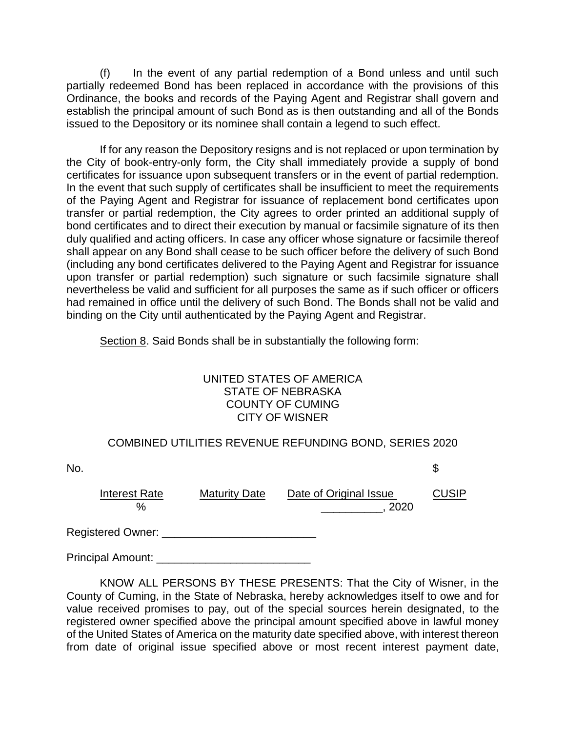(f) In the event of any partial redemption of a Bond unless and until such partially redeemed Bond has been replaced in accordance with the provisions of this Ordinance, the books and records of the Paying Agent and Registrar shall govern and establish the principal amount of such Bond as is then outstanding and all of the Bonds issued to the Depository or its nominee shall contain a legend to such effect.

If for any reason the Depository resigns and is not replaced or upon termination by the City of book-entry-only form, the City shall immediately provide a supply of bond certificates for issuance upon subsequent transfers or in the event of partial redemption. In the event that such supply of certificates shall be insufficient to meet the requirements of the Paying Agent and Registrar for issuance of replacement bond certificates upon transfer or partial redemption, the City agrees to order printed an additional supply of bond certificates and to direct their execution by manual or facsimile signature of its then duly qualified and acting officers. In case any officer whose signature or facsimile thereof shall appear on any Bond shall cease to be such officer before the delivery of such Bond (including any bond certificates delivered to the Paying Agent and Registrar for issuance upon transfer or partial redemption) such signature or such facsimile signature shall nevertheless be valid and sufficient for all purposes the same as if such officer or officers had remained in office until the delivery of such Bond. The Bonds shall not be valid and binding on the City until authenticated by the Paying Agent and Registrar.

Section 8. Said Bonds shall be in substantially the following form:

## UNITED STATES OF AMERICA STATE OF NEBRASKA COUNTY OF CUMING CITY OF WISNER

# COMBINED UTILITIES REVENUE REFUNDING BOND, SERIES 2020

| No. |                              |                      |                                | \$    |
|-----|------------------------------|----------------------|--------------------------------|-------|
|     | <b>Interest Rate</b><br>$\%$ | <b>Maturity Date</b> | Date of Original Issue<br>2020 | CUSIP |
|     | Registered Owner: _          |                      |                                |       |

Principal Amount:

KNOW ALL PERSONS BY THESE PRESENTS: That the City of Wisner, in the County of Cuming, in the State of Nebraska, hereby acknowledges itself to owe and for value received promises to pay, out of the special sources herein designated, to the registered owner specified above the principal amount specified above in lawful money of the United States of America on the maturity date specified above, with interest thereon from date of original issue specified above or most recent interest payment date,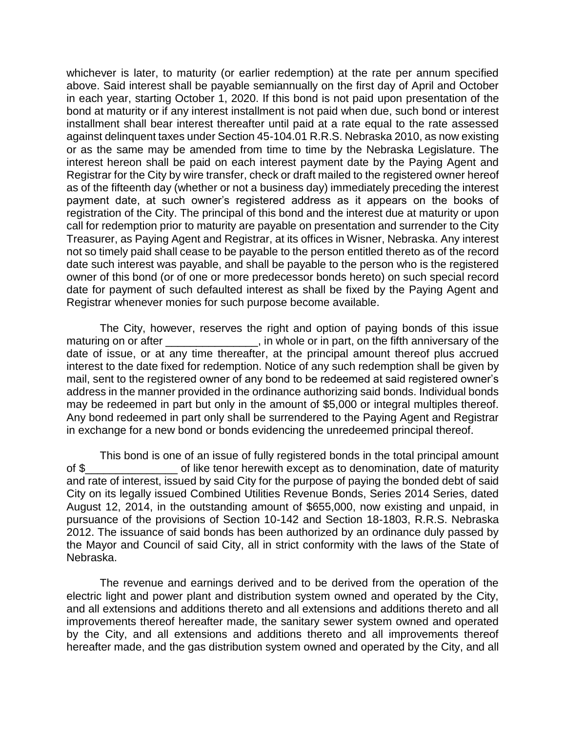whichever is later, to maturity (or earlier redemption) at the rate per annum specified above. Said interest shall be payable semiannually on the first day of April and October in each year, starting October 1, 2020. If this bond is not paid upon presentation of the bond at maturity or if any interest installment is not paid when due, such bond or interest installment shall bear interest thereafter until paid at a rate equal to the rate assessed against delinquent taxes under Section 45-104.01 R.R.S. Nebraska 2010, as now existing or as the same may be amended from time to time by the Nebraska Legislature. The interest hereon shall be paid on each interest payment date by the Paying Agent and Registrar for the City by wire transfer, check or draft mailed to the registered owner hereof as of the fifteenth day (whether or not a business day) immediately preceding the interest payment date, at such owner's registered address as it appears on the books of registration of the City. The principal of this bond and the interest due at maturity or upon call for redemption prior to maturity are payable on presentation and surrender to the City Treasurer, as Paying Agent and Registrar, at its offices in Wisner, Nebraska. Any interest not so timely paid shall cease to be payable to the person entitled thereto as of the record date such interest was payable, and shall be payable to the person who is the registered owner of this bond (or of one or more predecessor bonds hereto) on such special record date for payment of such defaulted interest as shall be fixed by the Paying Agent and Registrar whenever monies for such purpose become available.

The City, however, reserves the right and option of paying bonds of this issue maturing on or after  $\blacksquare$ , in whole or in part, on the fifth anniversary of the date of issue, or at any time thereafter, at the principal amount thereof plus accrued interest to the date fixed for redemption. Notice of any such redemption shall be given by mail, sent to the registered owner of any bond to be redeemed at said registered owner's address in the manner provided in the ordinance authorizing said bonds. Individual bonds may be redeemed in part but only in the amount of \$5,000 or integral multiples thereof. Any bond redeemed in part only shall be surrendered to the Paying Agent and Registrar in exchange for a new bond or bonds evidencing the unredeemed principal thereof.

This bond is one of an issue of fully registered bonds in the total principal amount of \$\_\_\_\_\_\_\_\_\_\_\_\_\_\_\_ of like tenor herewith except as to denomination, date of maturity and rate of interest, issued by said City for the purpose of paying the bonded debt of said City on its legally issued Combined Utilities Revenue Bonds, Series 2014 Series, dated August 12, 2014, in the outstanding amount of \$655,000, now existing and unpaid, in pursuance of the provisions of Section 10-142 and Section 18-1803, R.R.S. Nebraska 2012. The issuance of said bonds has been authorized by an ordinance duly passed by the Mayor and Council of said City, all in strict conformity with the laws of the State of Nebraska.

The revenue and earnings derived and to be derived from the operation of the electric light and power plant and distribution system owned and operated by the City, and all extensions and additions thereto and all extensions and additions thereto and all improvements thereof hereafter made, the sanitary sewer system owned and operated by the City, and all extensions and additions thereto and all improvements thereof hereafter made, and the gas distribution system owned and operated by the City, and all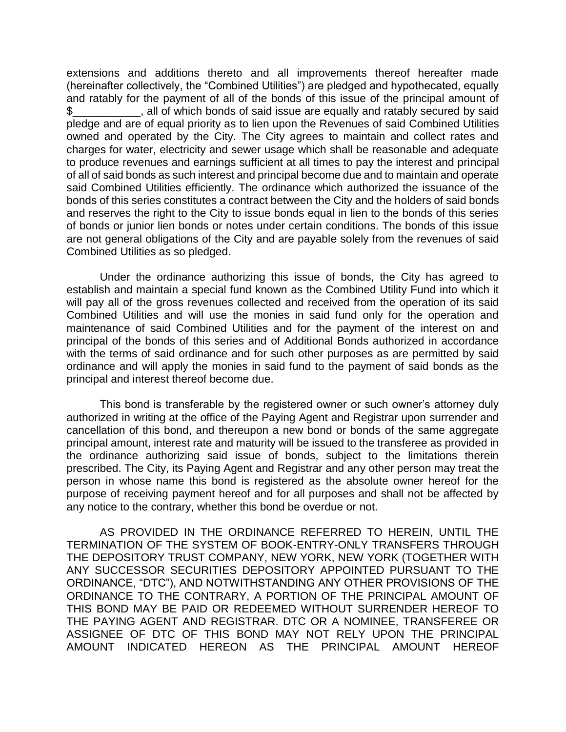extensions and additions thereto and all improvements thereof hereafter made (hereinafter collectively, the "Combined Utilities") are pledged and hypothecated, equally and ratably for the payment of all of the bonds of this issue of the principal amount of \$ , all of which bonds of said issue are equally and ratably secured by said pledge and are of equal priority as to lien upon the Revenues of said Combined Utilities owned and operated by the City. The City agrees to maintain and collect rates and charges for water, electricity and sewer usage which shall be reasonable and adequate to produce revenues and earnings sufficient at all times to pay the interest and principal of all of said bonds as such interest and principal become due and to maintain and operate said Combined Utilities efficiently. The ordinance which authorized the issuance of the bonds of this series constitutes a contract between the City and the holders of said bonds and reserves the right to the City to issue bonds equal in lien to the bonds of this series of bonds or junior lien bonds or notes under certain conditions. The bonds of this issue are not general obligations of the City and are payable solely from the revenues of said Combined Utilities as so pledged.

Under the ordinance authorizing this issue of bonds, the City has agreed to establish and maintain a special fund known as the Combined Utility Fund into which it will pay all of the gross revenues collected and received from the operation of its said Combined Utilities and will use the monies in said fund only for the operation and maintenance of said Combined Utilities and for the payment of the interest on and principal of the bonds of this series and of Additional Bonds authorized in accordance with the terms of said ordinance and for such other purposes as are permitted by said ordinance and will apply the monies in said fund to the payment of said bonds as the principal and interest thereof become due.

This bond is transferable by the registered owner or such owner's attorney duly authorized in writing at the office of the Paying Agent and Registrar upon surrender and cancellation of this bond, and thereupon a new bond or bonds of the same aggregate principal amount, interest rate and maturity will be issued to the transferee as provided in the ordinance authorizing said issue of bonds, subject to the limitations therein prescribed. The City, its Paying Agent and Registrar and any other person may treat the person in whose name this bond is registered as the absolute owner hereof for the purpose of receiving payment hereof and for all purposes and shall not be affected by any notice to the contrary, whether this bond be overdue or not.

AS PROVIDED IN THE ORDINANCE REFERRED TO HEREIN, UNTIL THE TERMINATION OF THE SYSTEM OF BOOK-ENTRY-ONLY TRANSFERS THROUGH THE DEPOSITORY TRUST COMPANY, NEW YORK, NEW YORK (TOGETHER WITH ANY SUCCESSOR SECURITIES DEPOSITORY APPOINTED PURSUANT TO THE ORDINANCE, "DTC"), AND NOTWITHSTANDING ANY OTHER PROVISIONS OF THE ORDINANCE TO THE CONTRARY, A PORTION OF THE PRINCIPAL AMOUNT OF THIS BOND MAY BE PAID OR REDEEMED WITHOUT SURRENDER HEREOF TO THE PAYING AGENT AND REGISTRAR. DTC OR A NOMINEE, TRANSFEREE OR ASSIGNEE OF DTC OF THIS BOND MAY NOT RELY UPON THE PRINCIPAL AMOUNT INDICATED HEREON AS THE PRINCIPAL AMOUNT HEREOF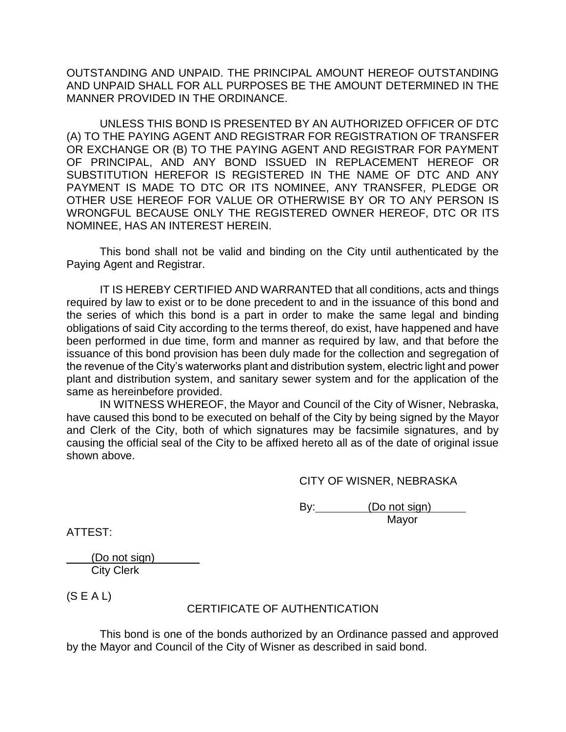OUTSTANDING AND UNPAID. THE PRINCIPAL AMOUNT HEREOF OUTSTANDING AND UNPAID SHALL FOR ALL PURPOSES BE THE AMOUNT DETERMINED IN THE MANNER PROVIDED IN THE ORDINANCE.

UNLESS THIS BOND IS PRESENTED BY AN AUTHORIZED OFFICER OF DTC (A) TO THE PAYING AGENT AND REGISTRAR FOR REGISTRATION OF TRANSFER OR EXCHANGE OR (B) TO THE PAYING AGENT AND REGISTRAR FOR PAYMENT OF PRINCIPAL, AND ANY BOND ISSUED IN REPLACEMENT HEREOF OR SUBSTITUTION HEREFOR IS REGISTERED IN THE NAME OF DTC AND ANY PAYMENT IS MADE TO DTC OR ITS NOMINEE, ANY TRANSFER, PLEDGE OR OTHER USE HEREOF FOR VALUE OR OTHERWISE BY OR TO ANY PERSON IS WRONGFUL BECAUSE ONLY THE REGISTERED OWNER HEREOF, DTC OR ITS NOMINEE, HAS AN INTEREST HEREIN.

This bond shall not be valid and binding on the City until authenticated by the Paying Agent and Registrar.

IT IS HEREBY CERTIFIED AND WARRANTED that all conditions, acts and things required by law to exist or to be done precedent to and in the issuance of this bond and the series of which this bond is a part in order to make the same legal and binding obligations of said City according to the terms thereof, do exist, have happened and have been performed in due time, form and manner as required by law, and that before the issuance of this bond provision has been duly made for the collection and segregation of the revenue of the City's waterworks plant and distribution system, electric light and power plant and distribution system, and sanitary sewer system and for the application of the same as hereinbefore provided.

IN WITNESS WHEREOF, the Mayor and Council of the City of Wisner, Nebraska, have caused this bond to be executed on behalf of the City by being signed by the Mayor and Clerk of the City, both of which signatures may be facsimile signatures, and by causing the official seal of the City to be affixed hereto all as of the date of original issue shown above.

CITY OF WISNER, NEBRASKA

By: (Do not sign) Mayor

ATTEST:

 (Do not sign) City Clerk

 $(S E A L)$ 

# CERTIFICATE OF AUTHENTICATION

This bond is one of the bonds authorized by an Ordinance passed and approved by the Mayor and Council of the City of Wisner as described in said bond.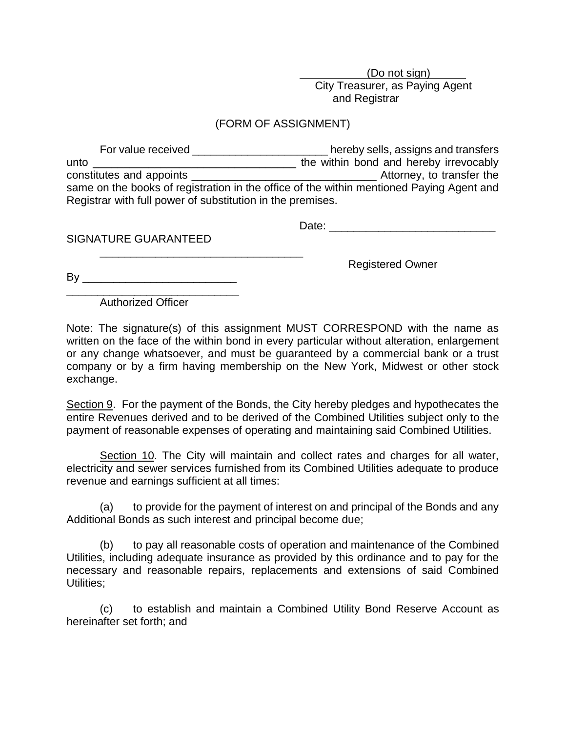(Do not sign) City Treasurer, as Paying Agent and Registrar

## (FORM OF ASSIGNMENT)

| For value received                                                                       | hereby sells, assigns and transfers    |  |  |  |
|------------------------------------------------------------------------------------------|----------------------------------------|--|--|--|
| unto                                                                                     | the within bond and hereby irrevocably |  |  |  |
| constitutes and appoints                                                                 | Attorney, to transfer the              |  |  |  |
| same on the books of registration in the office of the within mentioned Paying Agent and |                                        |  |  |  |
| Registrar with full power of substitution in the premises.                               |                                        |  |  |  |

Date: \_\_\_\_\_\_\_\_\_\_\_\_\_\_\_\_\_\_\_\_\_\_\_\_\_\_\_

SIGNATURE GUARANTEED

Registered Owner

By \_\_\_\_\_\_\_\_\_\_\_\_\_\_\_\_\_\_\_\_\_\_\_\_\_ \_\_\_\_\_\_\_\_\_\_\_\_\_\_\_\_\_\_\_\_\_\_\_\_\_\_\_\_

\_\_\_\_\_\_\_\_\_\_\_\_\_\_\_\_\_\_\_\_\_\_\_\_\_\_\_\_\_\_\_\_\_

Authorized Officer

Note: The signature(s) of this assignment MUST CORRESPOND with the name as written on the face of the within bond in every particular without alteration, enlargement or any change whatsoever, and must be guaranteed by a commercial bank or a trust company or by a firm having membership on the New York, Midwest or other stock exchange.

Section 9. For the payment of the Bonds, the City hereby pledges and hypothecates the entire Revenues derived and to be derived of the Combined Utilities subject only to the payment of reasonable expenses of operating and maintaining said Combined Utilities.

Section 10. The City will maintain and collect rates and charges for all water, electricity and sewer services furnished from its Combined Utilities adequate to produce revenue and earnings sufficient at all times:

(a) to provide for the payment of interest on and principal of the Bonds and any Additional Bonds as such interest and principal become due;

(b) to pay all reasonable costs of operation and maintenance of the Combined Utilities, including adequate insurance as provided by this ordinance and to pay for the necessary and reasonable repairs, replacements and extensions of said Combined Utilities:

(c) to establish and maintain a Combined Utility Bond Reserve Account as hereinafter set forth; and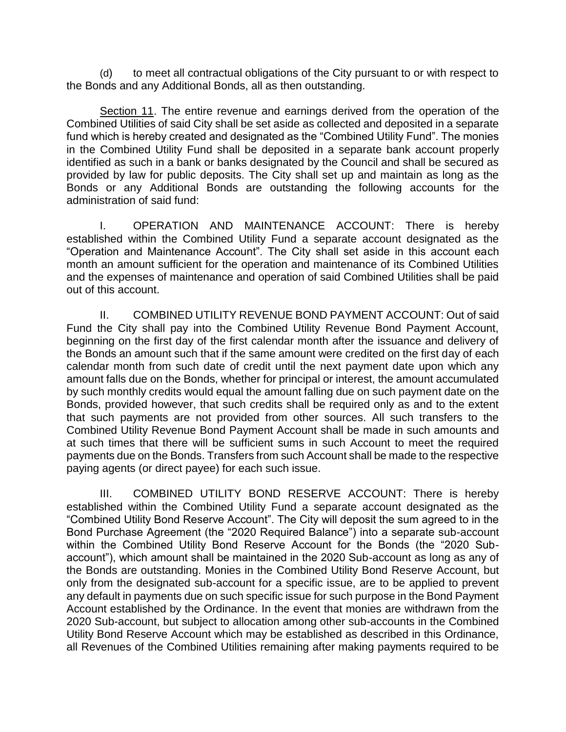(d) to meet all contractual obligations of the City pursuant to or with respect to the Bonds and any Additional Bonds, all as then outstanding.

Section 11. The entire revenue and earnings derived from the operation of the Combined Utilities of said City shall be set aside as collected and deposited in a separate fund which is hereby created and designated as the "Combined Utility Fund". The monies in the Combined Utility Fund shall be deposited in a separate bank account properly identified as such in a bank or banks designated by the Council and shall be secured as provided by law for public deposits. The City shall set up and maintain as long as the Bonds or any Additional Bonds are outstanding the following accounts for the administration of said fund:

I. OPERATION AND MAINTENANCE ACCOUNT: There is hereby established within the Combined Utility Fund a separate account designated as the "Operation and Maintenance Account". The City shall set aside in this account each month an amount sufficient for the operation and maintenance of its Combined Utilities and the expenses of maintenance and operation of said Combined Utilities shall be paid out of this account.

II. COMBINED UTILITY REVENUE BOND PAYMENT ACCOUNT: Out of said Fund the City shall pay into the Combined Utility Revenue Bond Payment Account, beginning on the first day of the first calendar month after the issuance and delivery of the Bonds an amount such that if the same amount were credited on the first day of each calendar month from such date of credit until the next payment date upon which any amount falls due on the Bonds, whether for principal or interest, the amount accumulated by such monthly credits would equal the amount falling due on such payment date on the Bonds, provided however, that such credits shall be required only as and to the extent that such payments are not provided from other sources. All such transfers to the Combined Utility Revenue Bond Payment Account shall be made in such amounts and at such times that there will be sufficient sums in such Account to meet the required payments due on the Bonds. Transfers from such Account shall be made to the respective paying agents (or direct payee) for each such issue.

III. COMBINED UTILITY BOND RESERVE ACCOUNT: There is hereby established within the Combined Utility Fund a separate account designated as the "Combined Utility Bond Reserve Account". The City will deposit the sum agreed to in the Bond Purchase Agreement (the "2020 Required Balance") into a separate sub-account within the Combined Utility Bond Reserve Account for the Bonds (the "2020 Subaccount"), which amount shall be maintained in the 2020 Sub-account as long as any of the Bonds are outstanding. Monies in the Combined Utility Bond Reserve Account, but only from the designated sub-account for a specific issue, are to be applied to prevent any default in payments due on such specific issue for such purpose in the Bond Payment Account established by the Ordinance. In the event that monies are withdrawn from the 2020 Sub-account, but subject to allocation among other sub-accounts in the Combined Utility Bond Reserve Account which may be established as described in this Ordinance, all Revenues of the Combined Utilities remaining after making payments required to be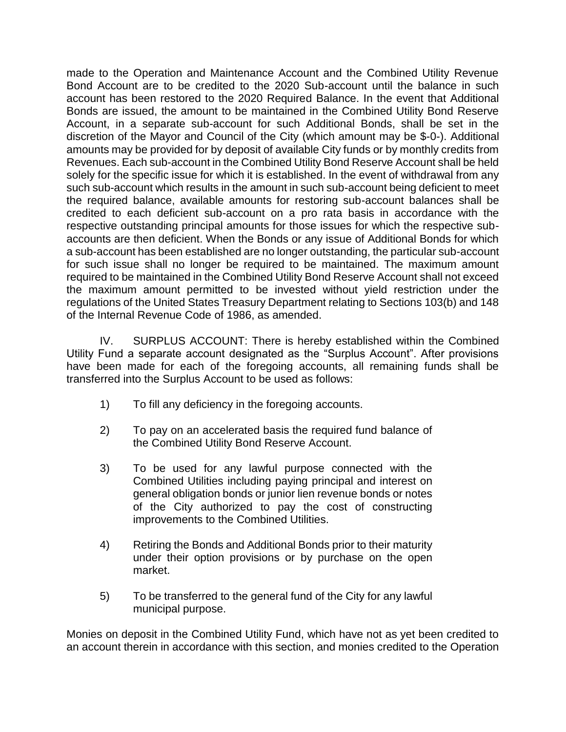made to the Operation and Maintenance Account and the Combined Utility Revenue Bond Account are to be credited to the 2020 Sub-account until the balance in such account has been restored to the 2020 Required Balance. In the event that Additional Bonds are issued, the amount to be maintained in the Combined Utility Bond Reserve Account, in a separate sub-account for such Additional Bonds, shall be set in the discretion of the Mayor and Council of the City (which amount may be \$-0-). Additional amounts may be provided for by deposit of available City funds or by monthly credits from Revenues. Each sub-account in the Combined Utility Bond Reserve Account shall be held solely for the specific issue for which it is established. In the event of withdrawal from any such sub-account which results in the amount in such sub-account being deficient to meet the required balance, available amounts for restoring sub-account balances shall be credited to each deficient sub-account on a pro rata basis in accordance with the respective outstanding principal amounts for those issues for which the respective subaccounts are then deficient. When the Bonds or any issue of Additional Bonds for which a sub-account has been established are no longer outstanding, the particular sub-account for such issue shall no longer be required to be maintained. The maximum amount required to be maintained in the Combined Utility Bond Reserve Account shall not exceed the maximum amount permitted to be invested without yield restriction under the regulations of the United States Treasury Department relating to Sections 103(b) and 148 of the Internal Revenue Code of 1986, as amended.

IV. SURPLUS ACCOUNT: There is hereby established within the Combined Utility Fund a separate account designated as the "Surplus Account". After provisions have been made for each of the foregoing accounts, all remaining funds shall be transferred into the Surplus Account to be used as follows:

- 1) To fill any deficiency in the foregoing accounts.
- 2) To pay on an accelerated basis the required fund balance of the Combined Utility Bond Reserve Account.
- 3) To be used for any lawful purpose connected with the Combined Utilities including paying principal and interest on general obligation bonds or junior lien revenue bonds or notes of the City authorized to pay the cost of constructing improvements to the Combined Utilities.
- 4) Retiring the Bonds and Additional Bonds prior to their maturity under their option provisions or by purchase on the open market.
- 5) To be transferred to the general fund of the City for any lawful municipal purpose.

Monies on deposit in the Combined Utility Fund, which have not as yet been credited to an account therein in accordance with this section, and monies credited to the Operation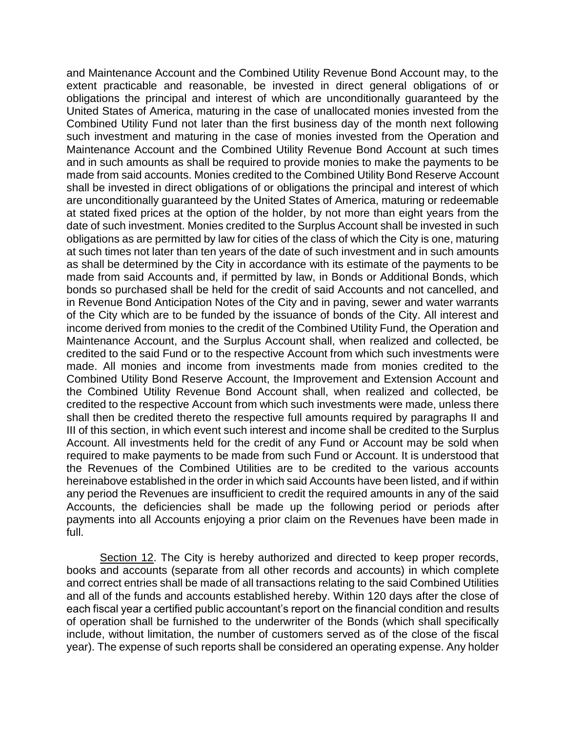and Maintenance Account and the Combined Utility Revenue Bond Account may, to the extent practicable and reasonable, be invested in direct general obligations of or obligations the principal and interest of which are unconditionally guaranteed by the United States of America, maturing in the case of unallocated monies invested from the Combined Utility Fund not later than the first business day of the month next following such investment and maturing in the case of monies invested from the Operation and Maintenance Account and the Combined Utility Revenue Bond Account at such times and in such amounts as shall be required to provide monies to make the payments to be made from said accounts. Monies credited to the Combined Utility Bond Reserve Account shall be invested in direct obligations of or obligations the principal and interest of which are unconditionally guaranteed by the United States of America, maturing or redeemable at stated fixed prices at the option of the holder, by not more than eight years from the date of such investment. Monies credited to the Surplus Account shall be invested in such obligations as are permitted by law for cities of the class of which the City is one, maturing at such times not later than ten years of the date of such investment and in such amounts as shall be determined by the City in accordance with its estimate of the payments to be made from said Accounts and, if permitted by law, in Bonds or Additional Bonds, which bonds so purchased shall be held for the credit of said Accounts and not cancelled, and in Revenue Bond Anticipation Notes of the City and in paving, sewer and water warrants of the City which are to be funded by the issuance of bonds of the City. All interest and income derived from monies to the credit of the Combined Utility Fund, the Operation and Maintenance Account, and the Surplus Account shall, when realized and collected, be credited to the said Fund or to the respective Account from which such investments were made. All monies and income from investments made from monies credited to the Combined Utility Bond Reserve Account, the Improvement and Extension Account and the Combined Utility Revenue Bond Account shall, when realized and collected, be credited to the respective Account from which such investments were made, unless there shall then be credited thereto the respective full amounts required by paragraphs II and III of this section, in which event such interest and income shall be credited to the Surplus Account. All investments held for the credit of any Fund or Account may be sold when required to make payments to be made from such Fund or Account. It is understood that the Revenues of the Combined Utilities are to be credited to the various accounts hereinabove established in the order in which said Accounts have been listed, and if within any period the Revenues are insufficient to credit the required amounts in any of the said Accounts, the deficiencies shall be made up the following period or periods after payments into all Accounts enjoying a prior claim on the Revenues have been made in full.

Section 12. The City is hereby authorized and directed to keep proper records, books and accounts (separate from all other records and accounts) in which complete and correct entries shall be made of all transactions relating to the said Combined Utilities and all of the funds and accounts established hereby. Within 120 days after the close of each fiscal year a certified public accountant's report on the financial condition and results of operation shall be furnished to the underwriter of the Bonds (which shall specifically include, without limitation, the number of customers served as of the close of the fiscal year). The expense of such reports shall be considered an operating expense. Any holder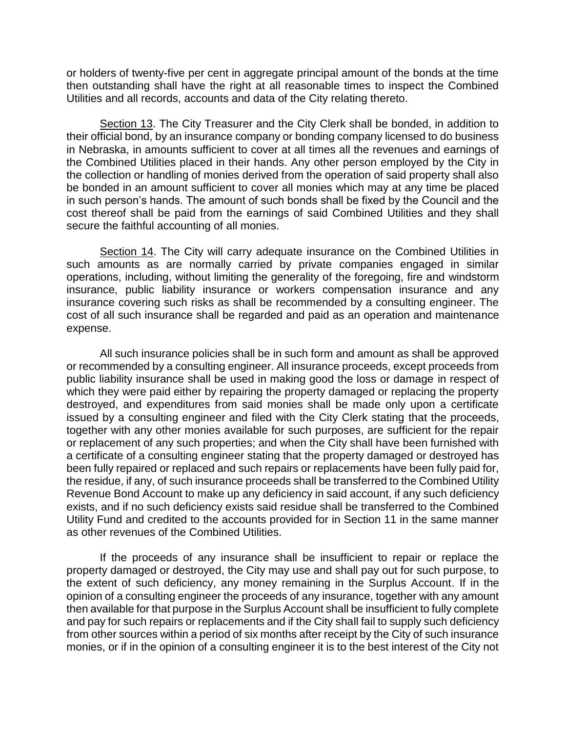or holders of twenty-five per cent in aggregate principal amount of the bonds at the time then outstanding shall have the right at all reasonable times to inspect the Combined Utilities and all records, accounts and data of the City relating thereto.

Section 13. The City Treasurer and the City Clerk shall be bonded, in addition to their official bond, by an insurance company or bonding company licensed to do business in Nebraska, in amounts sufficient to cover at all times all the revenues and earnings of the Combined Utilities placed in their hands. Any other person employed by the City in the collection or handling of monies derived from the operation of said property shall also be bonded in an amount sufficient to cover all monies which may at any time be placed in such person's hands. The amount of such bonds shall be fixed by the Council and the cost thereof shall be paid from the earnings of said Combined Utilities and they shall secure the faithful accounting of all monies.

Section 14. The City will carry adequate insurance on the Combined Utilities in such amounts as are normally carried by private companies engaged in similar operations, including, without limiting the generality of the foregoing, fire and windstorm insurance, public liability insurance or workers compensation insurance and any insurance covering such risks as shall be recommended by a consulting engineer. The cost of all such insurance shall be regarded and paid as an operation and maintenance expense.

All such insurance policies shall be in such form and amount as shall be approved or recommended by a consulting engineer. All insurance proceeds, except proceeds from public liability insurance shall be used in making good the loss or damage in respect of which they were paid either by repairing the property damaged or replacing the property destroyed, and expenditures from said monies shall be made only upon a certificate issued by a consulting engineer and filed with the City Clerk stating that the proceeds, together with any other monies available for such purposes, are sufficient for the repair or replacement of any such properties; and when the City shall have been furnished with a certificate of a consulting engineer stating that the property damaged or destroyed has been fully repaired or replaced and such repairs or replacements have been fully paid for, the residue, if any, of such insurance proceeds shall be transferred to the Combined Utility Revenue Bond Account to make up any deficiency in said account, if any such deficiency exists, and if no such deficiency exists said residue shall be transferred to the Combined Utility Fund and credited to the accounts provided for in Section 11 in the same manner as other revenues of the Combined Utilities.

If the proceeds of any insurance shall be insufficient to repair or replace the property damaged or destroyed, the City may use and shall pay out for such purpose, to the extent of such deficiency, any money remaining in the Surplus Account. If in the opinion of a consulting engineer the proceeds of any insurance, together with any amount then available for that purpose in the Surplus Account shall be insufficient to fully complete and pay for such repairs or replacements and if the City shall fail to supply such deficiency from other sources within a period of six months after receipt by the City of such insurance monies, or if in the opinion of a consulting engineer it is to the best interest of the City not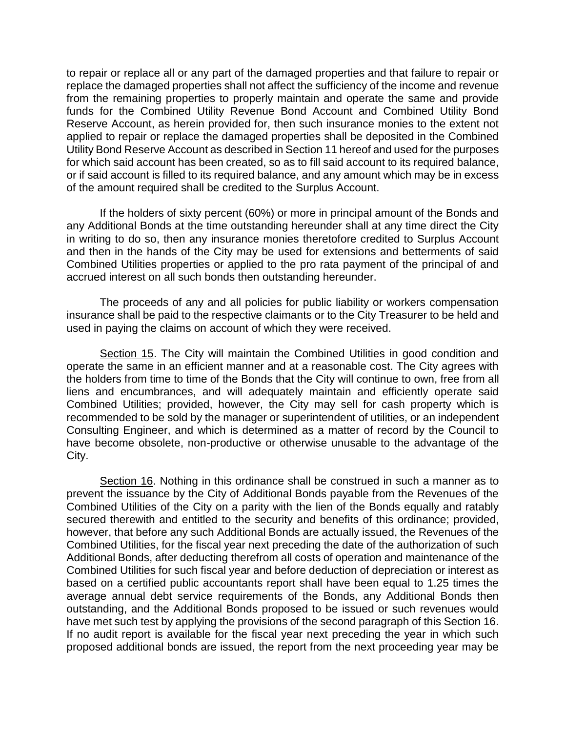to repair or replace all or any part of the damaged properties and that failure to repair or replace the damaged properties shall not affect the sufficiency of the income and revenue from the remaining properties to properly maintain and operate the same and provide funds for the Combined Utility Revenue Bond Account and Combined Utility Bond Reserve Account, as herein provided for, then such insurance monies to the extent not applied to repair or replace the damaged properties shall be deposited in the Combined Utility Bond Reserve Account as described in Section 11 hereof and used for the purposes for which said account has been created, so as to fill said account to its required balance, or if said account is filled to its required balance, and any amount which may be in excess of the amount required shall be credited to the Surplus Account.

If the holders of sixty percent (60%) or more in principal amount of the Bonds and any Additional Bonds at the time outstanding hereunder shall at any time direct the City in writing to do so, then any insurance monies theretofore credited to Surplus Account and then in the hands of the City may be used for extensions and betterments of said Combined Utilities properties or applied to the pro rata payment of the principal of and accrued interest on all such bonds then outstanding hereunder.

The proceeds of any and all policies for public liability or workers compensation insurance shall be paid to the respective claimants or to the City Treasurer to be held and used in paying the claims on account of which they were received.

Section 15. The City will maintain the Combined Utilities in good condition and operate the same in an efficient manner and at a reasonable cost. The City agrees with the holders from time to time of the Bonds that the City will continue to own, free from all liens and encumbrances, and will adequately maintain and efficiently operate said Combined Utilities; provided, however, the City may sell for cash property which is recommended to be sold by the manager or superintendent of utilities, or an independent Consulting Engineer, and which is determined as a matter of record by the Council to have become obsolete, non-productive or otherwise unusable to the advantage of the City.

Section 16. Nothing in this ordinance shall be construed in such a manner as to prevent the issuance by the City of Additional Bonds payable from the Revenues of the Combined Utilities of the City on a parity with the lien of the Bonds equally and ratably secured therewith and entitled to the security and benefits of this ordinance; provided, however, that before any such Additional Bonds are actually issued, the Revenues of the Combined Utilities, for the fiscal year next preceding the date of the authorization of such Additional Bonds, after deducting therefrom all costs of operation and maintenance of the Combined Utilities for such fiscal year and before deduction of depreciation or interest as based on a certified public accountants report shall have been equal to 1.25 times the average annual debt service requirements of the Bonds, any Additional Bonds then outstanding, and the Additional Bonds proposed to be issued or such revenues would have met such test by applying the provisions of the second paragraph of this Section 16. If no audit report is available for the fiscal year next preceding the year in which such proposed additional bonds are issued, the report from the next proceeding year may be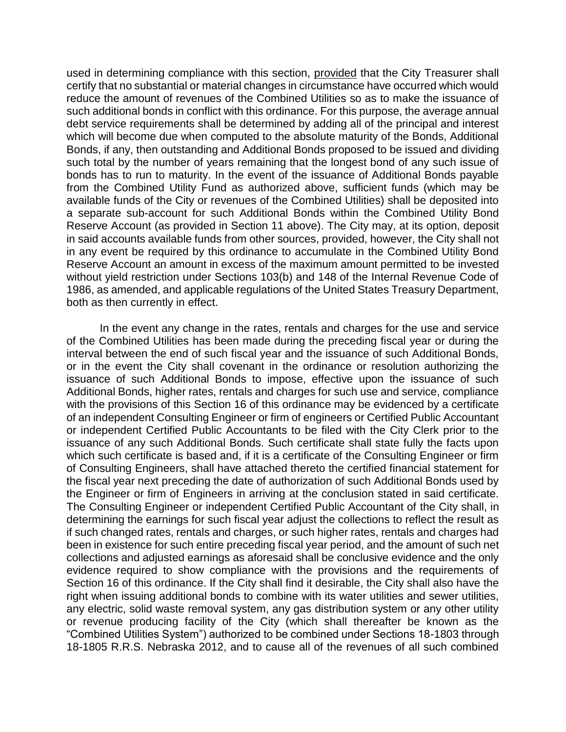used in determining compliance with this section, provided that the City Treasurer shall certify that no substantial or material changes in circumstance have occurred which would reduce the amount of revenues of the Combined Utilities so as to make the issuance of such additional bonds in conflict with this ordinance. For this purpose, the average annual debt service requirements shall be determined by adding all of the principal and interest which will become due when computed to the absolute maturity of the Bonds, Additional Bonds, if any, then outstanding and Additional Bonds proposed to be issued and dividing such total by the number of years remaining that the longest bond of any such issue of bonds has to run to maturity. In the event of the issuance of Additional Bonds payable from the Combined Utility Fund as authorized above, sufficient funds (which may be available funds of the City or revenues of the Combined Utilities) shall be deposited into a separate sub-account for such Additional Bonds within the Combined Utility Bond Reserve Account (as provided in Section 11 above). The City may, at its option, deposit in said accounts available funds from other sources, provided, however, the City shall not in any event be required by this ordinance to accumulate in the Combined Utility Bond Reserve Account an amount in excess of the maximum amount permitted to be invested without yield restriction under Sections 103(b) and 148 of the Internal Revenue Code of 1986, as amended, and applicable regulations of the United States Treasury Department, both as then currently in effect.

In the event any change in the rates, rentals and charges for the use and service of the Combined Utilities has been made during the preceding fiscal year or during the interval between the end of such fiscal year and the issuance of such Additional Bonds, or in the event the City shall covenant in the ordinance or resolution authorizing the issuance of such Additional Bonds to impose, effective upon the issuance of such Additional Bonds, higher rates, rentals and charges for such use and service, compliance with the provisions of this Section 16 of this ordinance may be evidenced by a certificate of an independent Consulting Engineer or firm of engineers or Certified Public Accountant or independent Certified Public Accountants to be filed with the City Clerk prior to the issuance of any such Additional Bonds. Such certificate shall state fully the facts upon which such certificate is based and, if it is a certificate of the Consulting Engineer or firm of Consulting Engineers, shall have attached thereto the certified financial statement for the fiscal year next preceding the date of authorization of such Additional Bonds used by the Engineer or firm of Engineers in arriving at the conclusion stated in said certificate. The Consulting Engineer or independent Certified Public Accountant of the City shall, in determining the earnings for such fiscal year adjust the collections to reflect the result as if such changed rates, rentals and charges, or such higher rates, rentals and charges had been in existence for such entire preceding fiscal year period, and the amount of such net collections and adjusted earnings as aforesaid shall be conclusive evidence and the only evidence required to show compliance with the provisions and the requirements of Section 16 of this ordinance. If the City shall find it desirable, the City shall also have the right when issuing additional bonds to combine with its water utilities and sewer utilities, any electric, solid waste removal system, any gas distribution system or any other utility or revenue producing facility of the City (which shall thereafter be known as the "Combined Utilities System") authorized to be combined under Sections 18-1803 through 18-1805 R.R.S. Nebraska 2012, and to cause all of the revenues of all such combined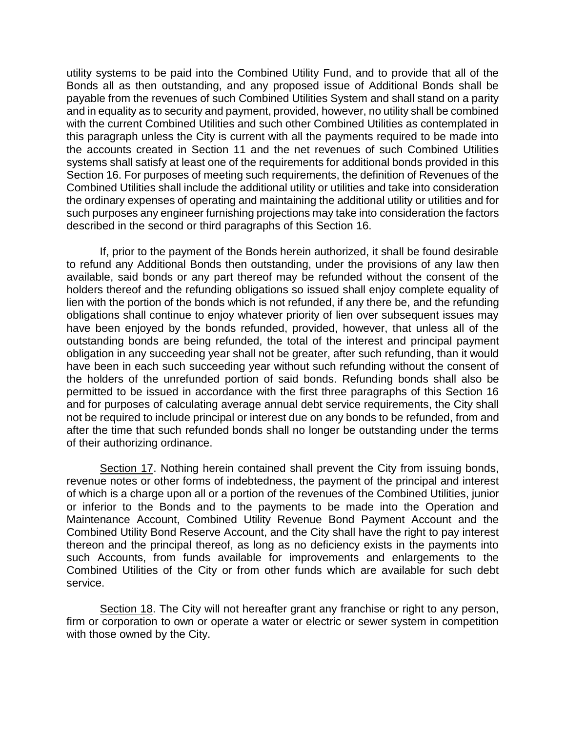utility systems to be paid into the Combined Utility Fund, and to provide that all of the Bonds all as then outstanding, and any proposed issue of Additional Bonds shall be payable from the revenues of such Combined Utilities System and shall stand on a parity and in equality as to security and payment, provided, however, no utility shall be combined with the current Combined Utilities and such other Combined Utilities as contemplated in this paragraph unless the City is current with all the payments required to be made into the accounts created in Section 11 and the net revenues of such Combined Utilities systems shall satisfy at least one of the requirements for additional bonds provided in this Section 16. For purposes of meeting such requirements, the definition of Revenues of the Combined Utilities shall include the additional utility or utilities and take into consideration the ordinary expenses of operating and maintaining the additional utility or utilities and for such purposes any engineer furnishing projections may take into consideration the factors described in the second or third paragraphs of this Section 16.

If, prior to the payment of the Bonds herein authorized, it shall be found desirable to refund any Additional Bonds then outstanding, under the provisions of any law then available, said bonds or any part thereof may be refunded without the consent of the holders thereof and the refunding obligations so issued shall enjoy complete equality of lien with the portion of the bonds which is not refunded, if any there be, and the refunding obligations shall continue to enjoy whatever priority of lien over subsequent issues may have been enjoyed by the bonds refunded, provided, however, that unless all of the outstanding bonds are being refunded, the total of the interest and principal payment obligation in any succeeding year shall not be greater, after such refunding, than it would have been in each such succeeding year without such refunding without the consent of the holders of the unrefunded portion of said bonds. Refunding bonds shall also be permitted to be issued in accordance with the first three paragraphs of this Section 16 and for purposes of calculating average annual debt service requirements, the City shall not be required to include principal or interest due on any bonds to be refunded, from and after the time that such refunded bonds shall no longer be outstanding under the terms of their authorizing ordinance.

Section 17. Nothing herein contained shall prevent the City from issuing bonds, revenue notes or other forms of indebtedness, the payment of the principal and interest of which is a charge upon all or a portion of the revenues of the Combined Utilities, junior or inferior to the Bonds and to the payments to be made into the Operation and Maintenance Account, Combined Utility Revenue Bond Payment Account and the Combined Utility Bond Reserve Account, and the City shall have the right to pay interest thereon and the principal thereof, as long as no deficiency exists in the payments into such Accounts, from funds available for improvements and enlargements to the Combined Utilities of the City or from other funds which are available for such debt service.

Section 18. The City will not hereafter grant any franchise or right to any person, firm or corporation to own or operate a water or electric or sewer system in competition with those owned by the City.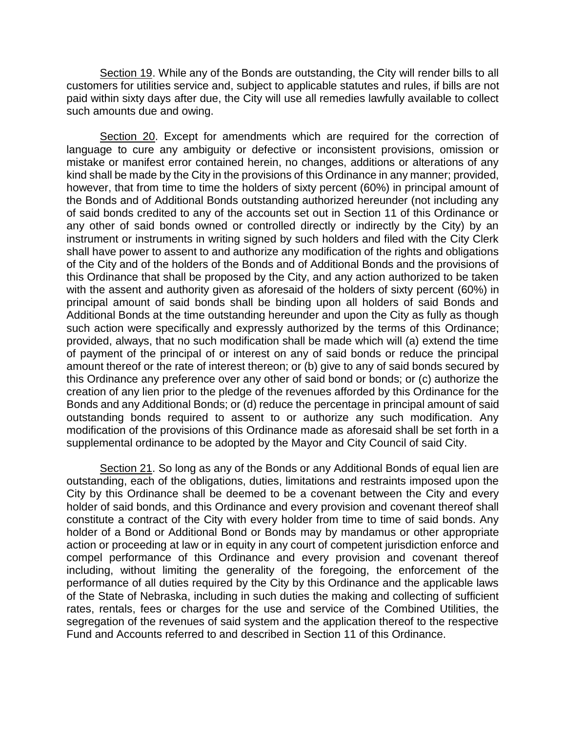Section 19. While any of the Bonds are outstanding, the City will render bills to all customers for utilities service and, subject to applicable statutes and rules, if bills are not paid within sixty days after due, the City will use all remedies lawfully available to collect such amounts due and owing.

Section 20. Except for amendments which are required for the correction of language to cure any ambiguity or defective or inconsistent provisions, omission or mistake or manifest error contained herein, no changes, additions or alterations of any kind shall be made by the City in the provisions of this Ordinance in any manner; provided, however, that from time to time the holders of sixty percent (60%) in principal amount of the Bonds and of Additional Bonds outstanding authorized hereunder (not including any of said bonds credited to any of the accounts set out in Section 11 of this Ordinance or any other of said bonds owned or controlled directly or indirectly by the City) by an instrument or instruments in writing signed by such holders and filed with the City Clerk shall have power to assent to and authorize any modification of the rights and obligations of the City and of the holders of the Bonds and of Additional Bonds and the provisions of this Ordinance that shall be proposed by the City, and any action authorized to be taken with the assent and authority given as aforesaid of the holders of sixty percent (60%) in principal amount of said bonds shall be binding upon all holders of said Bonds and Additional Bonds at the time outstanding hereunder and upon the City as fully as though such action were specifically and expressly authorized by the terms of this Ordinance; provided, always, that no such modification shall be made which will (a) extend the time of payment of the principal of or interest on any of said bonds or reduce the principal amount thereof or the rate of interest thereon; or (b) give to any of said bonds secured by this Ordinance any preference over any other of said bond or bonds; or (c) authorize the creation of any lien prior to the pledge of the revenues afforded by this Ordinance for the Bonds and any Additional Bonds; or (d) reduce the percentage in principal amount of said outstanding bonds required to assent to or authorize any such modification. Any modification of the provisions of this Ordinance made as aforesaid shall be set forth in a supplemental ordinance to be adopted by the Mayor and City Council of said City.

Section 21. So long as any of the Bonds or any Additional Bonds of equal lien are outstanding, each of the obligations, duties, limitations and restraints imposed upon the City by this Ordinance shall be deemed to be a covenant between the City and every holder of said bonds, and this Ordinance and every provision and covenant thereof shall constitute a contract of the City with every holder from time to time of said bonds. Any holder of a Bond or Additional Bond or Bonds may by mandamus or other appropriate action or proceeding at law or in equity in any court of competent jurisdiction enforce and compel performance of this Ordinance and every provision and covenant thereof including, without limiting the generality of the foregoing, the enforcement of the performance of all duties required by the City by this Ordinance and the applicable laws of the State of Nebraska, including in such duties the making and collecting of sufficient rates, rentals, fees or charges for the use and service of the Combined Utilities, the segregation of the revenues of said system and the application thereof to the respective Fund and Accounts referred to and described in Section 11 of this Ordinance.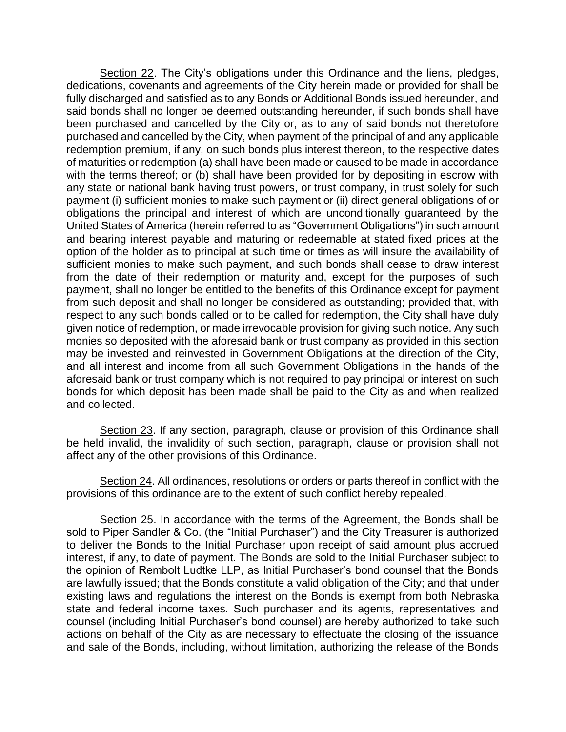Section 22. The City's obligations under this Ordinance and the liens, pledges, dedications, covenants and agreements of the City herein made or provided for shall be fully discharged and satisfied as to any Bonds or Additional Bonds issued hereunder, and said bonds shall no longer be deemed outstanding hereunder, if such bonds shall have been purchased and cancelled by the City or, as to any of said bonds not theretofore purchased and cancelled by the City, when payment of the principal of and any applicable redemption premium, if any, on such bonds plus interest thereon, to the respective dates of maturities or redemption (a) shall have been made or caused to be made in accordance with the terms thereof; or (b) shall have been provided for by depositing in escrow with any state or national bank having trust powers, or trust company, in trust solely for such payment (i) sufficient monies to make such payment or (ii) direct general obligations of or obligations the principal and interest of which are unconditionally guaranteed by the United States of America (herein referred to as "Government Obligations") in such amount and bearing interest payable and maturing or redeemable at stated fixed prices at the option of the holder as to principal at such time or times as will insure the availability of sufficient monies to make such payment, and such bonds shall cease to draw interest from the date of their redemption or maturity and, except for the purposes of such payment, shall no longer be entitled to the benefits of this Ordinance except for payment from such deposit and shall no longer be considered as outstanding; provided that, with respect to any such bonds called or to be called for redemption, the City shall have duly given notice of redemption, or made irrevocable provision for giving such notice. Any such monies so deposited with the aforesaid bank or trust company as provided in this section may be invested and reinvested in Government Obligations at the direction of the City, and all interest and income from all such Government Obligations in the hands of the aforesaid bank or trust company which is not required to pay principal or interest on such bonds for which deposit has been made shall be paid to the City as and when realized and collected.

Section 23. If any section, paragraph, clause or provision of this Ordinance shall be held invalid, the invalidity of such section, paragraph, clause or provision shall not affect any of the other provisions of this Ordinance.

Section 24. All ordinances, resolutions or orders or parts thereof in conflict with the provisions of this ordinance are to the extent of such conflict hereby repealed.

Section 25. In accordance with the terms of the Agreement, the Bonds shall be sold to Piper Sandler & Co. (the "Initial Purchaser") and the City Treasurer is authorized to deliver the Bonds to the Initial Purchaser upon receipt of said amount plus accrued interest, if any, to date of payment. The Bonds are sold to the Initial Purchaser subject to the opinion of Rembolt Ludtke LLP, as Initial Purchaser's bond counsel that the Bonds are lawfully issued; that the Bonds constitute a valid obligation of the City; and that under existing laws and regulations the interest on the Bonds is exempt from both Nebraska state and federal income taxes. Such purchaser and its agents, representatives and counsel (including Initial Purchaser's bond counsel) are hereby authorized to take such actions on behalf of the City as are necessary to effectuate the closing of the issuance and sale of the Bonds, including, without limitation, authorizing the release of the Bonds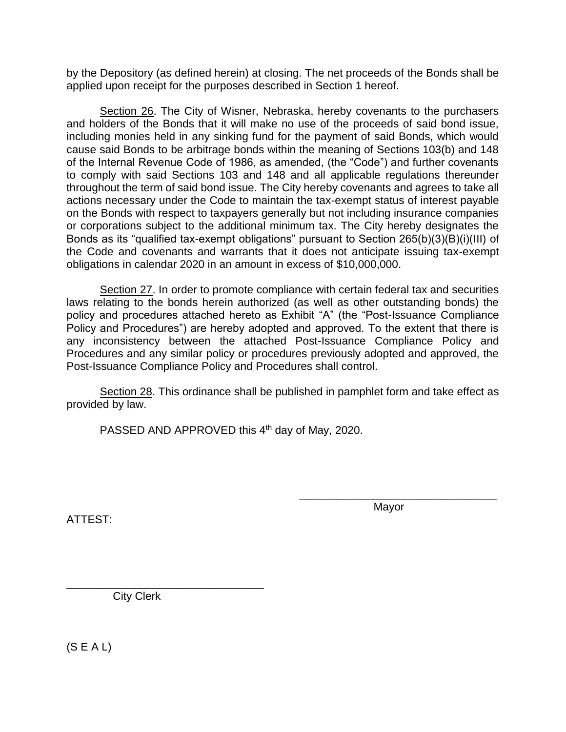by the Depository (as defined herein) at closing. The net proceeds of the Bonds shall be applied upon receipt for the purposes described in Section 1 hereof.

Section 26. The City of Wisner, Nebraska, hereby covenants to the purchasers and holders of the Bonds that it will make no use of the proceeds of said bond issue, including monies held in any sinking fund for the payment of said Bonds, which would cause said Bonds to be arbitrage bonds within the meaning of Sections 103(b) and 148 of the Internal Revenue Code of 1986, as amended, (the "Code") and further covenants to comply with said Sections 103 and 148 and all applicable regulations thereunder throughout the term of said bond issue. The City hereby covenants and agrees to take all actions necessary under the Code to maintain the tax-exempt status of interest payable on the Bonds with respect to taxpayers generally but not including insurance companies or corporations subject to the additional minimum tax. The City hereby designates the Bonds as its "qualified tax-exempt obligations" pursuant to Section 265(b)(3)(B)(i)(III) of the Code and covenants and warrants that it does not anticipate issuing tax-exempt obligations in calendar 2020 in an amount in excess of \$10,000,000.

Section 27. In order to promote compliance with certain federal tax and securities laws relating to the bonds herein authorized (as well as other outstanding bonds) the policy and procedures attached hereto as Exhibit "A" (the "Post-Issuance Compliance Policy and Procedures") are hereby adopted and approved. To the extent that there is any inconsistency between the attached Post-Issuance Compliance Policy and Procedures and any similar policy or procedures previously adopted and approved, the Post-Issuance Compliance Policy and Procedures shall control.

Section 28. This ordinance shall be published in pamphlet form and take effect as provided by law.

PASSED AND APPROVED this  $4<sup>th</sup>$  day of May, 2020.

ATTEST:

Mayor

\_\_\_\_\_\_\_\_\_\_\_\_\_\_\_\_\_\_\_\_\_\_\_\_\_\_\_\_\_\_\_\_

\_\_\_\_\_\_\_\_\_\_\_\_\_\_\_\_\_\_\_\_\_\_\_\_\_\_\_\_\_\_\_\_ City Clerk

 $(S E A L)$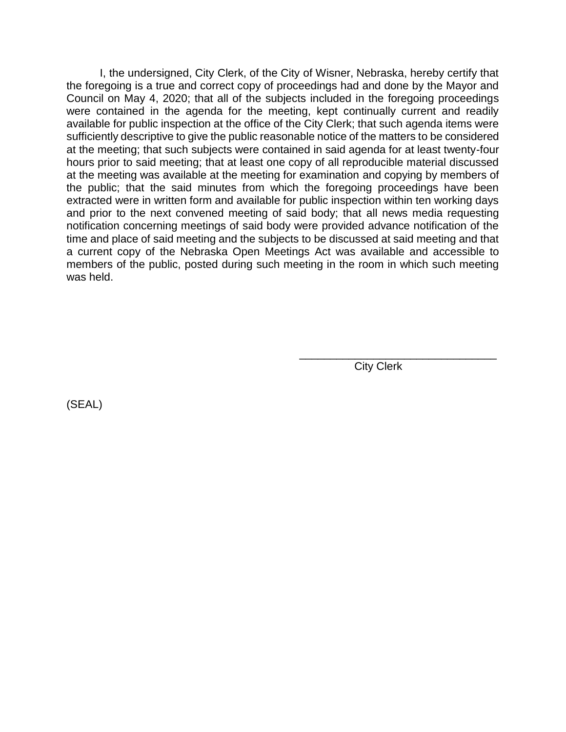I, the undersigned, City Clerk, of the City of Wisner, Nebraska, hereby certify that the foregoing is a true and correct copy of proceedings had and done by the Mayor and Council on May 4, 2020; that all of the subjects included in the foregoing proceedings were contained in the agenda for the meeting, kept continually current and readily available for public inspection at the office of the City Clerk; that such agenda items were sufficiently descriptive to give the public reasonable notice of the matters to be considered at the meeting; that such subjects were contained in said agenda for at least twenty-four hours prior to said meeting; that at least one copy of all reproducible material discussed at the meeting was available at the meeting for examination and copying by members of the public; that the said minutes from which the foregoing proceedings have been extracted were in written form and available for public inspection within ten working days and prior to the next convened meeting of said body; that all news media requesting notification concerning meetings of said body were provided advance notification of the time and place of said meeting and the subjects to be discussed at said meeting and that a current copy of the Nebraska Open Meetings Act was available and accessible to members of the public, posted during such meeting in the room in which such meeting was held.

City Clerk

\_\_\_\_\_\_\_\_\_\_\_\_\_\_\_\_\_\_\_\_\_\_\_\_\_\_\_\_\_\_\_\_

(SEAL)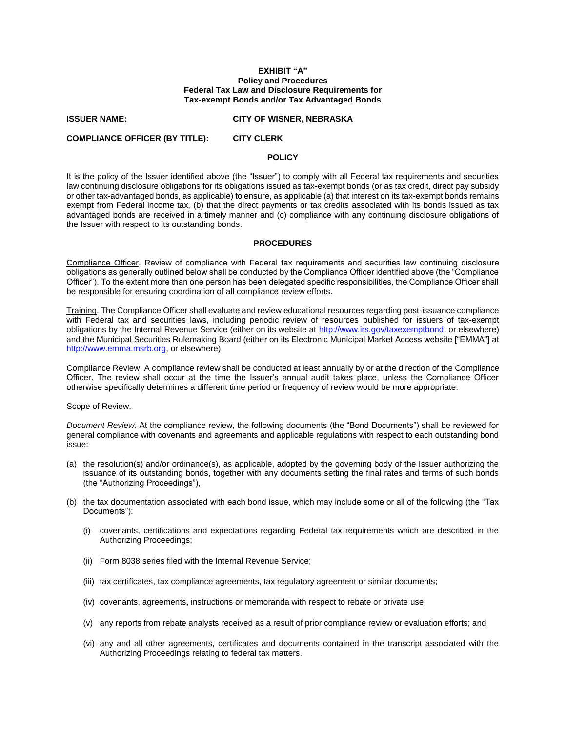#### **EXHIBIT "A" Policy and Procedures Federal Tax Law and Disclosure Requirements for Tax-exempt Bonds and/or Tax Advantaged Bonds**

#### **ISSUER NAME: CITY OF WISNER, NEBRASKA**

### **COMPLIANCE OFFICER (BY TITLE): CITY CLERK**

### **POLICY**

It is the policy of the Issuer identified above (the "Issuer") to comply with all Federal tax requirements and securities law continuing disclosure obligations for its obligations issued as tax-exempt bonds (or as tax credit, direct pay subsidy or other tax-advantaged bonds, as applicable) to ensure, as applicable (a) that interest on its tax-exempt bonds remains exempt from Federal income tax, (b) that the direct payments or tax credits associated with its bonds issued as tax advantaged bonds are received in a timely manner and (c) compliance with any continuing disclosure obligations of the Issuer with respect to its outstanding bonds.

### **PROCEDURES**

Compliance Officer. Review of compliance with Federal tax requirements and securities law continuing disclosure obligations as generally outlined below shall be conducted by the Compliance Officer identified above (the "Compliance Officer"). To the extent more than one person has been delegated specific responsibilities, the Compliance Officer shall be responsible for ensuring coordination of all compliance review efforts.

Training. The Compliance Officer shall evaluate and review educational resources regarding post-issuance compliance with Federal tax and securities laws, including periodic review of resources published for issuers of tax-exempt obligations by the Internal Revenue Service (either on its website at [http://www.irs.gov/taxexemptbond,](http://www.irs.gov/taxexemptbond) or elsewhere) and the Municipal Securities Rulemaking Board (either on its Electronic Municipal Market Access website ["EMMA"] at [http://www.emma.msrb.org,](http://www.emma.msrb.org/) or elsewhere).

Compliance Review. A compliance review shall be conducted at least annually by or at the direction of the Compliance Officer. The review shall occur at the time the Issuer's annual audit takes place, unless the Compliance Officer otherwise specifically determines a different time period or frequency of review would be more appropriate.

#### Scope of Review.

*Document Review*. At the compliance review, the following documents (the "Bond Documents") shall be reviewed for general compliance with covenants and agreements and applicable regulations with respect to each outstanding bond issue:

- (a) the resolution(s) and/or ordinance(s), as applicable, adopted by the governing body of the Issuer authorizing the issuance of its outstanding bonds, together with any documents setting the final rates and terms of such bonds (the "Authorizing Proceedings"),
- (b) the tax documentation associated with each bond issue, which may include some or all of the following (the "Tax Documents"):
	- (i) covenants, certifications and expectations regarding Federal tax requirements which are described in the Authorizing Proceedings;
	- (ii) Form 8038 series filed with the Internal Revenue Service;
	- (iii) tax certificates, tax compliance agreements, tax regulatory agreement or similar documents;
	- (iv) covenants, agreements, instructions or memoranda with respect to rebate or private use;
	- (v) any reports from rebate analysts received as a result of prior compliance review or evaluation efforts; and
	- (vi) any and all other agreements, certificates and documents contained in the transcript associated with the Authorizing Proceedings relating to federal tax matters.